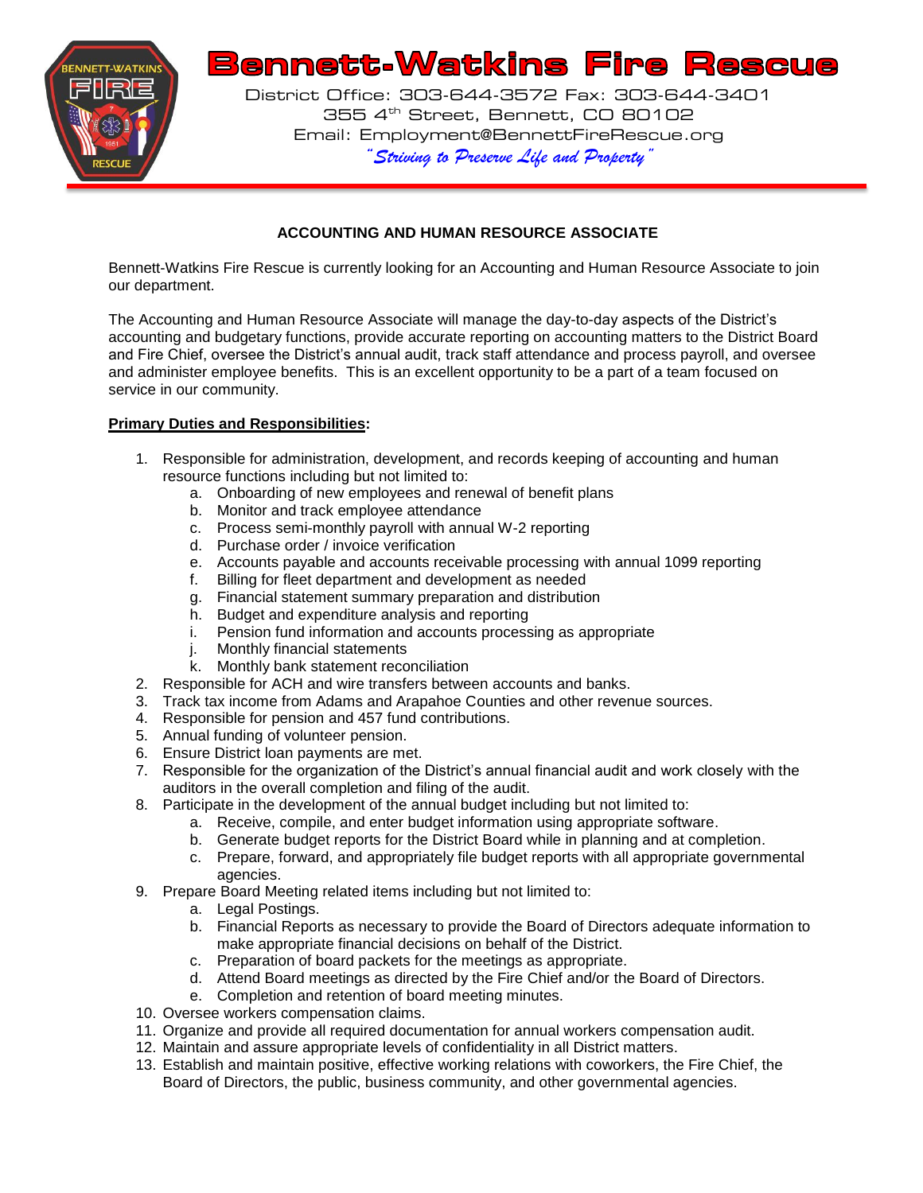

# **ACCOUNTING AND HUMAN RESOURCE ASSOCIATE**

Bennett-Watkins Fire Rescue is currently looking for an Accounting and Human Resource Associate to join our department.

The Accounting and Human Resource Associate will manage the day-to-day aspects of the District's accounting and budgetary functions, provide accurate reporting on accounting matters to the District Board and Fire Chief, oversee the District's annual audit, track staff attendance and process payroll, and oversee and administer employee benefits. This is an excellent opportunity to be a part of a team focused on service in our community.

# **Primary Duties and Responsibilities:**

- 1. Responsible for administration, development, and records keeping of accounting and human resource functions including but not limited to:
	- a. Onboarding of new employees and renewal of benefit plans
	- b. Monitor and track employee attendance
	- c. Process semi-monthly payroll with annual W-2 reporting
	- d. Purchase order / invoice verification
	- e. Accounts payable and accounts receivable processing with annual 1099 reporting f. Billing for fleet department and development as needed
	- Billing for fleet department and development as needed
	- g. Financial statement summary preparation and distribution
	- h. Budget and expenditure analysis and reporting
	- i. Pension fund information and accounts processing as appropriate
	- j. Monthly financial statements
	- k. Monthly bank statement reconciliation
- 2. Responsible for ACH and wire transfers between accounts and banks.
- 3. Track tax income from Adams and Arapahoe Counties and other revenue sources.
- 4. Responsible for pension and 457 fund contributions.
- 5. Annual funding of volunteer pension.
- 6. Ensure District loan payments are met.
- 7. Responsible for the organization of the District's annual financial audit and work closely with the auditors in the overall completion and filing of the audit.
- 8. Participate in the development of the annual budget including but not limited to:
	- a. Receive, compile, and enter budget information using appropriate software.
	- b. Generate budget reports for the District Board while in planning and at completion.
	- c. Prepare, forward, and appropriately file budget reports with all appropriate governmental agencies.
- 9. Prepare Board Meeting related items including but not limited to:
	- a. Legal Postings.
	- b. Financial Reports as necessary to provide the Board of Directors adequate information to make appropriate financial decisions on behalf of the District.
	- c. Preparation of board packets for the meetings as appropriate.
	- d. Attend Board meetings as directed by the Fire Chief and/or the Board of Directors.
	- e. Completion and retention of board meeting minutes.
- 10. Oversee workers compensation claims.
- 11. Organize and provide all required documentation for annual workers compensation audit.
- 12. Maintain and assure appropriate levels of confidentiality in all District matters.
- 13. Establish and maintain positive, effective working relations with coworkers, the Fire Chief, the Board of Directors, the public, business community, and other governmental agencies.